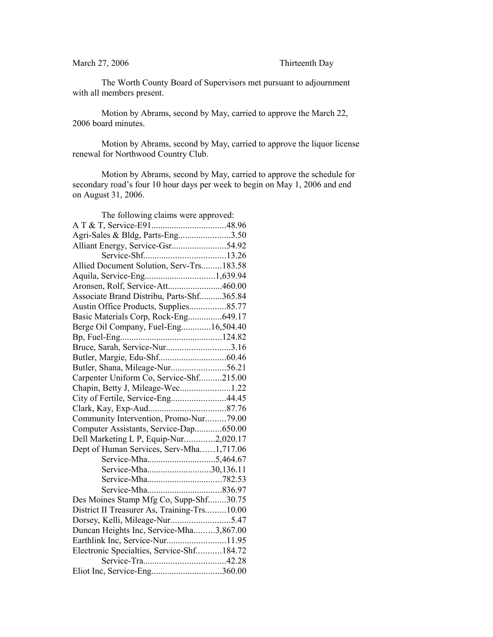## March 27, 2006 Thirteenth Day

The Worth County Board of Supervisors met pursuant to adjournment with all members present.

Motion by Abrams, second by May, carried to approve the March 22, 2006 board minutes.

Motion by Abrams, second by May, carried to approve the liquor license renewal for Northwood Country Club.

Motion by Abrams, second by May, carried to approve the schedule for secondary road's four 10 hour days per week to begin on May 1, 2006 and end on August 31, 2006.

| The following claims were approved:         |  |
|---------------------------------------------|--|
|                                             |  |
| Agri-Sales & Bldg, Parts-Eng3.50            |  |
|                                             |  |
|                                             |  |
| Allied Document Solution, Serv-Trs183.58    |  |
| Aquila, Service-Eng1,639.94                 |  |
| Aronsen, Rolf, Service-Att460.00            |  |
| Associate Brand Distribu, Parts-Shf365.84   |  |
| Austin Office Products, Supplies85.77       |  |
| Basic Materials Corp, Rock-Eng649.17        |  |
| Berge Oil Company, Fuel-Eng16,504.40        |  |
|                                             |  |
| Bruce, Sarah, Service-Nur3.16               |  |
|                                             |  |
|                                             |  |
| Carpenter Uniform Co, Service-Shf215.00     |  |
| Chapin, Betty J, Mileage-Wec1.22            |  |
| City of Fertile, Service-Eng44.45           |  |
|                                             |  |
| Community Intervention, Promo-Nur79.00      |  |
| Computer Assistants, Service-Dap650.00      |  |
| Dell Marketing L P, Equip-Nur2,020.17       |  |
| Dept of Human Services, Serv-Mha1,717.06    |  |
|                                             |  |
| Service-Mha30,136.11                        |  |
|                                             |  |
|                                             |  |
| Des Moines Stamp Mfg Co, Supp-Shf30.75      |  |
| District II Treasurer As, Training-Trs10.00 |  |
|                                             |  |
| Duncan Heights Inc, Service-Mha3,867.00     |  |
| Earthlink Inc, Service-Nur11.95             |  |
| Electronic Specialties, Service-Shf184.72   |  |
|                                             |  |
| Eliot Inc, Service-Eng360.00                |  |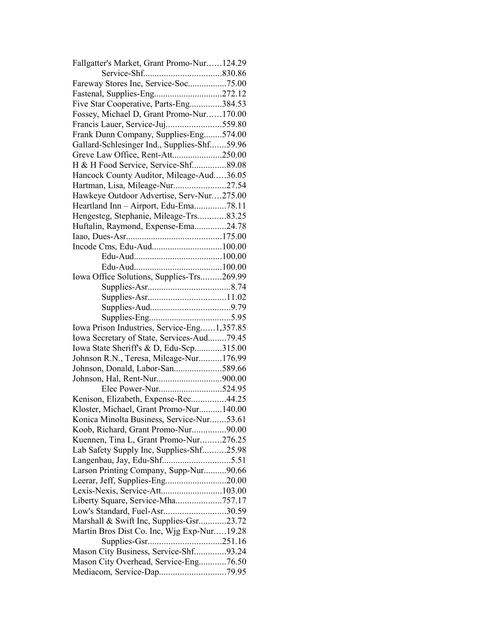| Fallgatter's Market, Grant Promo-Nur124.29  |  |
|---------------------------------------------|--|
|                                             |  |
| Fareway Stores Inc, Service-Soc75.00        |  |
|                                             |  |
| Five Star Cooperative, Parts-Eng384.53      |  |
| Fossey, Michael D, Grant Promo-Nur170.00    |  |
|                                             |  |
| Frank Dunn Company, Supplies-Eng574.00      |  |
| Gallard-Schlesinger Ind., Supplies-Shf59.96 |  |
| Greve Law Office, Rent-Att250.00            |  |
| H & H Food Service, Service-Shf89.08        |  |
| Hancock County Auditor, Mileage-Aud36.05    |  |
| Hartman, Lisa, Mileage-Nur27.54             |  |
| Hawkeye Outdoor Advertise, Serv-Nur275.00   |  |
| Heartland Inn - Airport, Edu-Ema78.11       |  |
| Hengesteg, Stephanie, Mileage-Trs83.25      |  |
| Huftalin, Raymond, Expense-Ema24.78         |  |
|                                             |  |
|                                             |  |
|                                             |  |
|                                             |  |
| Iowa Office Solutions, Supplies-Trs269.99   |  |
|                                             |  |
|                                             |  |
|                                             |  |
|                                             |  |
| Iowa Prison Industries, Service-Eng1,357.85 |  |
|                                             |  |
|                                             |  |
| Iowa Secretary of State, Services-Aud79.45  |  |
| Iowa State Sheriff's & D, Edu-Scp315.00     |  |
| Johnson R.N., Teresa, Mileage-Nur176.99     |  |
| Johnson, Donald, Labor-San589.66            |  |
|                                             |  |
| Elec Power-Nur524.95                        |  |
| Kenison, Elizabeth, Expense-Rec44.25        |  |
| Kloster, Michael, Grant Promo-Nur140.00     |  |
| Konica Minolta Business, Service-Nur53.61   |  |
| Koob, Richard, Grant Promo-Nur90.00         |  |
| Kuennen, Tina L, Grant Promo-Nur276.25      |  |
| Lab Safety Supply Inc, Supplies-Shf25.98    |  |
|                                             |  |
| Larson Printing Company, Supp-Nur90.66      |  |
| Leerar, Jeff, Supplies-Eng20.00             |  |
| Lexis-Nexis, Service-Att103.00              |  |
| Liberty Square, Service-Mha757.17           |  |
| Low's Standard, Fuel-Asr30.59               |  |
| Marshall & Swift Inc, Supplies-Gsr23.72     |  |
| Martin Bros Dist Co. Inc, Wjg Exp-Nur19.28  |  |
|                                             |  |
| Mason City Business, Service-Shf93.24       |  |
| Mason City Overhead, Service-Eng76.50       |  |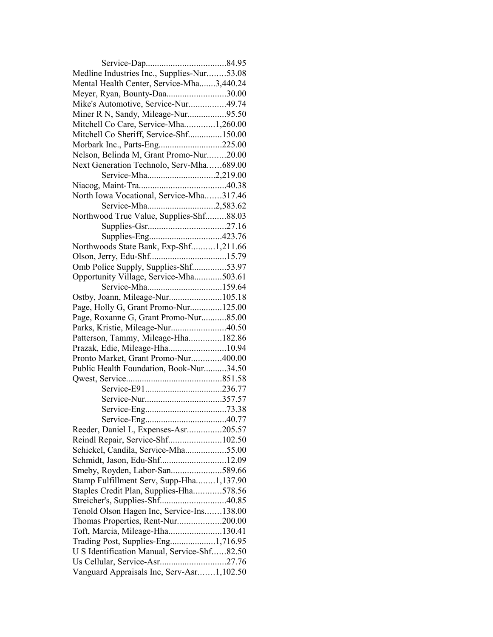| Medline Industries Inc., Supplies-Nur53.08  |  |
|---------------------------------------------|--|
| Mental Health Center, Service-Mha3,440.24   |  |
| Meyer, Ryan, Bounty-Daa30.00                |  |
| Mike's Automotive, Service-Nur49.74         |  |
| Miner R N, Sandy, Mileage-Nur95.50          |  |
| Mitchell Co Care, Service-Mha1,260.00       |  |
| Mitchell Co Sheriff, Service-Shf150.00      |  |
| Morbark Inc., Parts-Eng225.00               |  |
| Nelson, Belinda M, Grant Promo-Nur20.00     |  |
| Next Generation Technolo, Serv-Mha689.00    |  |
| Service-Mha2,219.00                         |  |
|                                             |  |
| North Iowa Vocational, Service-Mha317.46    |  |
| Service-Mha2,583.62                         |  |
| Northwood True Value, Supplies-Shf88.03     |  |
|                                             |  |
|                                             |  |
| Northwoods State Bank, Exp-Shf1,211.66      |  |
|                                             |  |
| Omb Police Supply, Supplies-Shf53.97        |  |
| Opportunity Village, Service-Mha503.61      |  |
| Service-Mha159.64                           |  |
| Ostby, Joann, Mileage-Nur105.18             |  |
| Page, Holly G, Grant Promo-Nur125.00        |  |
| Page, Roxanne G, Grant Promo-Nur85.00       |  |
| Parks, Kristie, Mileage-Nur40.50            |  |
| Patterson, Tammy, Mileage-Hha182.86         |  |
| Prazak, Edie, Mileage-Hha10.94              |  |
| Pronto Market, Grant Promo-Nur400.00        |  |
| Public Health Foundation, Book-Nur34.50     |  |
|                                             |  |
|                                             |  |
| Service-Nur357.57                           |  |
|                                             |  |
|                                             |  |
| Reeder, Daniel L, Expenses-Asr205.57        |  |
| Reindl Repair, Service-Shf102.50            |  |
| Schickel, Candila, Service-Mha55.00         |  |
| Schmidt, Jason, Edu-Shf12.09                |  |
| Smeby, Royden, Labor-San589.66              |  |
| Stamp Fulfillment Serv, Supp-Hha1,137.90    |  |
| Staples Credit Plan, Supplies-Hha578.56     |  |
|                                             |  |
| Tenold Olson Hagen Inc, Service-Ins138.00   |  |
| Thomas Properties, Rent-Nur200.00           |  |
| Toft, Marcia, Mileage-Hha130.41             |  |
| Trading Post, Supplies-Eng1,716.95          |  |
| U S Identification Manual, Service-Shf82.50 |  |
| Us Cellular, Service-Asr27.76               |  |
| Vanguard Appraisals Inc, Serv-Asr1,102.50   |  |
|                                             |  |